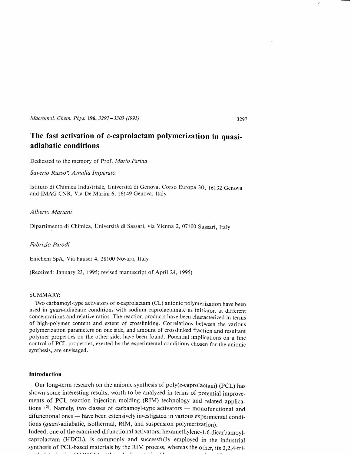*Macromol. Chem. Phys. 196,3297-3303 (1995)* 

# The fast activation of *ε*-caprolactam polymerization in quasi**adiabatic conditions**

Dedicated to the memory of Prof. *Mario Farina* 

*Saverio* Russo~ *Afnatia /lnperato* 

Istituto di Chimica Industriale, Università di Genova, Corso Europa 30, 16132 Genova and IMAG CNR, Via De Marini 6, 16149 Genova, Italy

## *Alberto Mariani*

Dipartimento di Chimica, Università di Sassari, via Vienna 2, 07100 Sassari, Italy

# *Fabrizio Parodi*

Enichem SpA, Via Fauser 4, 28100 Novara, Italy

(Received: January 23, 1995; revised manuscript of ApriI 24, 1995)

## SUMMARY:

Two carbamovl-type activators of  $\varepsilon$ -caprolactam (CL) anionic polymerization have been used in *quasi*-adiabatic conditions with sodium caprolactamate as initiator, at different concentrations and relative ratios. The reaction products have been characterized in terrns of high-polymer content and extent of crosslinking. Correlations between the various polymerization parameters on one side, and amount of crosslinked fraction and resultant polymer properties on the other side, have been found. Potential implications on a fine control of PCL properties, exerted by the experimental conditions chosen for the anionic synthesis, are envisaged.

## **Introduction**

Our long-term research on the anionic synthesis of  $poly(\varepsilon\text{-}capcolactam)$  (PCL) has shown some interesting results, worth to be analyzed in terms of potential improvements of PCL reaction injection molding (RIM) technology and related applications<sup>1,2)</sup>. Namely, two classes of carbamoyl-type activators  $-$  monofunctional and difunctional ones - have been extensively investigated in various experimental conditions (quasi-adiabatic, isothermal, RIM, and suspension polymerization).

Indeed, one of the examined difunctional activators, hexamethylene-l ,6-dicarbamoylcaprolactam (HDCL), is commonly and successfully employed in the industriaI synthesis of PCL-based materials by the RIM process, whereas the other, its 2,2,4-tri-

3297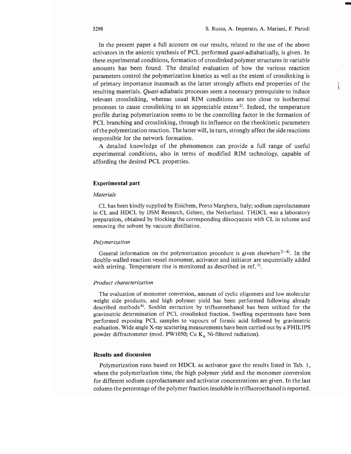-

In the present paper a full account on our results, related to the use of the above activators in the anionic synthesis of PCL performed quasi-adiabatically, is given. In these experimental conditions, formation of crosslinked polymer structures in variable amounts has been found. The detailed evaluation of how the various reaction parameters control the polymerization kinetics as well as the extent of crosslinking is of primary importance inasmuch as the latter strongly affects end properties of the resulting materials. *Quasi-adiabatic* processes seem a necessary prerequisite to induce relevant crosslinking, whereas usual RIM conditions are too close to isothermal processes to cause crosslinking to an appreciable extent<sup>2</sup>. Indeed, the temperature profile during polymerization seems to be the controlling factor in the formation of PCL branching and crosslinking, through its influence on the rheokinetic parameters of the polymerization reaction. The latter wili, in turn, strongly affect the side reactions responsible for the network formation.

A detailed knowledge of the phenomenon can provide a full range of useful experimental conditions, also in terms of modified RIM technology, capable of affording the desired PCL properties.

## **Experimental part**

#### *Materials*

CL has been kindly supplied by Enichem, Porto Marghera, Italy; sodium caprolactamate in CL and HDCL by DSM Research, Geleen, the Netherland. THDCL was a laboratory preparation, obtained by blocking the corresponding diisocyanate with CL in toluene and removing the solvent by vacuum distillation.

#### *Polymerization*

General information on the polymerization procedure is given elsewhere  $2^{-4}$ . In the double-walled reaction vessel monomer, activator and initiator are sequentially added with stirring. Temperature rise is monitored as described in ref.<sup>5)</sup>.

#### *Product characterization*

The evaluation of monomer conversion, amount of cyclic oligomers and low molecular weight side products, and high polymer yield has been performed following already described methods 4). Soxhlet extraction by trifluoroethanol has been utilized for the gravimetric determination of PCL crosslinked fraction. Swelling experiments have been performed exposing PCL samples to vapours of formic acid followed by gravimetric evaluation. Wide angle X-ray scattering measurements have been carried out by a PHILIPS powder diffractometer (mod. PW1050; Cu  $K_a$  Ni-filtered radiation).

# ResuIts **and** discussion

Polymerization runs based on HDCL as activator gave the results listed in Tab. 1, where the polymerization time, the high polymer yield and the monomer conversion for different sodium caprolactamate and activator concentrations are given. In the last column the percentage of the polymer fraction insoluble in trifluoroethanol is reported.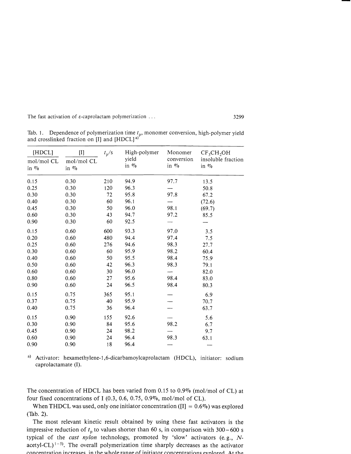The fast activation of  $\varepsilon$ -caprolactam polymerization  $\dots$  3299

| and crosslinked fraction on [I] and $[H DCL]^{\omega}$ |                             |                      |                                  |                                  |                                                                     |
|--------------------------------------------------------|-----------------------------|----------------------|----------------------------------|----------------------------------|---------------------------------------------------------------------|
| [HDCL]<br>mol/mol CL<br>in $\%$                        | $[1]$<br>mol/mol CL<br>in % | $t_{\rm p}/\text{s}$ | High-polymer<br>yield<br>in $\%$ | Monomer<br>conversion<br>in $\%$ | CF <sub>3</sub> CH <sub>2</sub> OH<br>insoluble fraction<br>in $\%$ |
| 0.15                                                   | 0.30                        | 210                  | 94.9                             | 97.7                             | 13.5                                                                |
| 0.25                                                   | 0.30                        | 120                  | 96.3                             |                                  | 50.8                                                                |
| 0.30                                                   | 0.30                        | 72                   | 95.8                             | 97.8                             | 67.2                                                                |
| 0.40                                                   | 0.30                        | 60                   | 96.1                             |                                  | (72.6)                                                              |
| 0.45                                                   | 0.30                        | 50                   | 96.0                             | 98.1                             | (69.7)                                                              |
| 0.60                                                   | 0.30                        | 43                   | 94.7                             | 97.2                             | 85.5                                                                |
| 0.90                                                   | 0.30                        | 60                   | 92.5                             |                                  |                                                                     |
| 0.15                                                   | 0.60                        | 600                  | 93.3                             | 97.0                             | 3.5                                                                 |
| 0.20                                                   | 0.60                        | 480                  | 94.4                             | 97.4                             | 7.5                                                                 |
| 0.25                                                   | 0.60                        | 276                  | 94.6                             | 98.3                             | 27.7                                                                |
| 0.30                                                   | 0.60                        | 60                   | 95.9                             | 98.2                             | 60.4                                                                |
| 0.40                                                   | 0.60                        | 50                   | 95.5                             | 98.4                             | 75.9                                                                |
| 0.50                                                   | 0.60                        | 42                   | 96.3                             | 98.3                             | 79.1                                                                |
| 0.60                                                   | 0.60                        | 30                   | 96.0                             |                                  | 82.0                                                                |
| 0.80                                                   | 0.60                        | 27                   | 95.6                             | 98.4                             | 83.0                                                                |
| 0.90                                                   | 0.60                        | 24                   | 96.5                             | 98.4                             | 80.3                                                                |
| 0.15                                                   | 0.75                        | 365                  | 95.1                             |                                  | 6.9                                                                 |
| 0.37                                                   | 0.75                        | 40                   | 95.9                             |                                  | 70.7                                                                |
| 0.40                                                   | 0.75                        | 36                   | 96.4                             |                                  | 63.7                                                                |
| 0.15                                                   | 0.90                        | 155                  | 92.6                             |                                  | 5.6                                                                 |
| 0.30                                                   | 0.90                        | 84                   | 95.6                             | 98.2                             | 6.7                                                                 |
| 0.45                                                   | 0.90                        | 24                   | 98.2                             |                                  | 9.7                                                                 |
| 0.60                                                   | 0.90                        | 24                   | 96.4                             | 98.3                             | 63.1                                                                |
| 0.90                                                   | 0.90                        | 18                   | 96.4                             |                                  |                                                                     |

Tab. 1. Dependence of polymerization time  $t_p$ , monomer conversion, high-polymer yield and crosslinked fraction on [I] and  $[HDCL]$ <sup>a)</sup>

a) Activator: hexamethylene-1,6-dicarbamoylcaprolactam (HDCL), initiator: sodium caprolactamate (I).

The concentration of HDCL has been varied from 0.15 to  $0.9\%$  (mol/mol of CL) at four fixed concentrations of I (0.3, 0.6, 0.75, 0.9%, mol/mol of CL).

When THDCL was used, only one initiator concentration ( $[I] = 0.6\%$ ) was explored (Tab. 2).

The most relevant kinetic result obtained by using these fast activators is the impressive reduction of  $t_p$  to values shorter than 60 s, in comparison with 300-600 s typical of the *cast ny/on* technology, promoted by 'slow' activators (e. g., *N*acetyl-CL $)$ <sup>1-5)</sup>. The overall polymerization time sharply decreases as the activator concentration increases in the whole range of initiator concentrations evoloped. At the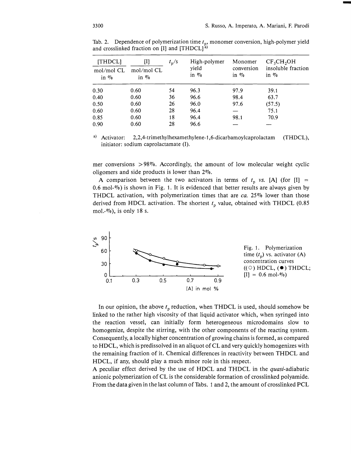-

| <b>[THDCL]</b><br>$mol/mol$ CL<br>in $\%$ | [I]<br>mol/mol CL<br>in $\%$ | $t_{\rm p}$ /s | High-polymer<br>yield<br>in $\%$ | Monomer<br>conversion<br>in $\%$ | CF <sub>3</sub> CH <sub>2</sub> OH<br>insoluble fraction<br>in $\%$ |
|-------------------------------------------|------------------------------|----------------|----------------------------------|----------------------------------|---------------------------------------------------------------------|
| 0.30                                      | 0.60                         | 54             | 96.3                             | 97.9                             | 39.1                                                                |
| 0.40                                      | 0.60                         | 36             | 96.6                             | 98.4                             | 63.7                                                                |
| 0.50                                      | 0.60                         | 26             | 96.0                             | 97.6                             | (57.5)                                                              |
| 0.60                                      | 0.60                         | 28             | 96.4                             |                                  | 75.1                                                                |
| 0.85                                      | 0.60                         | 18             | 96.4                             | 98.1                             | 70.9                                                                |
| 0.90                                      | 0.60                         | 28             | 96.6                             |                                  |                                                                     |

Tab. 2. Dependence of polymerization time  $t_p$ , monomer conversion, high-polymer yield and crosslinked fraction on [I] and  $[THDCL]$ <sup>[a]</sup>

a) Activator: 2,2,4-trimethylhexamethylene-1,6-dicarbamoylcaprolactam (THDCL), initiator: sodium caprolactamate (I).

mer conversions  $> 98\%$ . Accordingly, the amount of low molecular weight cyclic oligomers and side products is lower than *2070.* 

A comparison between the two activators in terms of  $t_p$  *vs.* [A] (for [I] = 0.6 mol- $\%$ ) is shown in Fig. 1. It is evidenced that better results are always given by THDCL activation, with polymerization times that are *ca.* 25% lower than those derived from HDCL activation. The shortest  $t<sub>p</sub>$  value, obtained with THDCL (0.85 mol.- $\%$ ), is only 18 s.



In our opinion, the above  $t_p$  reduction, when THDCL is used, should somehow be linked to the rather high viscosity of that liquid activator which, when syringed into the reaction vessel, can initially form heterogeneous microdomains slow to homogenize, despite the stirring, with the other components of the reacting system. Consequently, a locally higher concentration of growing chains is formed, as compared to HDCL, which is predissolved in an aliquot of CL and very quickly homogenizes with the remaining fraction of it. Chemical differences in reactivity between THDCL and HDCL, if any, should play a much minor role in this respect.

A peculiar effect derived by the use of HDCL and THDCL in the quasi-adiabatic anionic polymerization of CL is the considerable formation of crosslinked polyamide. From the data given in the last column of Tabs. 1 and 2, the amount of crosslinked PCL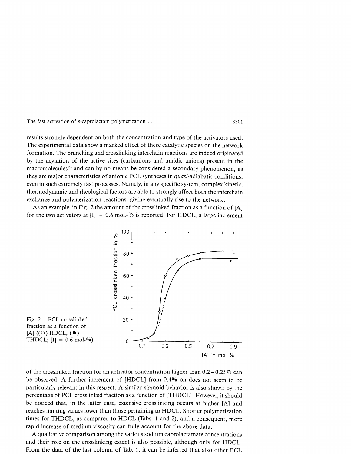The fast activation of  $\varepsilon$ -caprolactam polymerization ...

results strongly dependent on both the concentration and type of the activators used. The experimental data show a marked effect of these catalytic species on the network formation. The branching and crosslinking interchain reactions are indeed originated by the acylation of the active sites (carbanions and amidic anions) present in the macromolecules<sup>6)</sup> and can by no means be considered a secondary phenomenon, as they are major characteristics of anionic PCL syntheses in *quasi*-adiabatic conditions, even in such extremely fast processes. Namely, in any specific system, complex kinetic, thermodynamic and rheological factors are able to strongly affect both the interchain exchange and polymerization reactions, giving eventually rise to the network.

As an example, in Fig. 2 the amount of the crosslinked fraction as a function of [A] for the two activators at  $[I] = 0.6$  mol.-% is reported. For HDCL, a large increment



of the crosslinked fraction for an activator concentration higher than  $0.2 - 0.25\%$  can be observed. A further increment of  $[HDCL]$  from 0.4% on does not seem to be particularly relevant in this respect. A similar sigmoid behavior is also shown by the percentage of PCL crosslinked fraction as a function of [THDCL]. However, it should be noticed that, in the latter case, extensive crosslinking occurs at higher [A] and reaches limiting values lower than those pertaining to HDCL. Shorter polymerization times for THDCL, as compared to HDCL (Tabs. 1 and 2), and a consequent, more rapid increase of medium viscosity can fully account for the above data.

A qualitative comparison among the various sodium caprolactamate concentrations and their role on the crosslinking extent is also possible, although only for HDCL. From the data of the last column of Tab. 1, it can be inferred that also other PCL

3301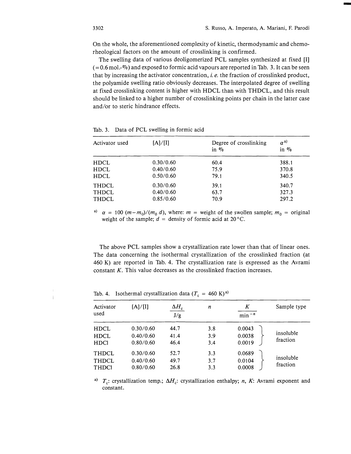-

On the whole, the aforementioned complexity of kinetic, thermodynamic and chemorheological factors on the amount of crosslinking is confirmed.

The swelling data of various deoligomerized PCL samples synthesized at fixed [I]  $(=0.6 \,\mathrm{mol}$ . $\%$ ) and exposed to formic acid vapours are reported in Tab. 3. It can be seen that by increasing the activator concentration, i. *e.* the fraction of crosslinked product, the polyamide swelling ratio obviously decreases. The interpolated degree of swelling at fixed crosslinking content is higher with HDCL than with THDCL, and this result should be linked to a higher number of crosslinking points per chain in the latter case and/or to steric hindrance effects.

| Activator used | [A]/[I]   | Degree of crosslinking<br>in $\%$ | $\alpha^{a)}$<br>in $\%$ |
|----------------|-----------|-----------------------------------|--------------------------|
| <b>HDCL</b>    | 0.30/0.60 | 60.4                              | 388.1                    |
| <b>HDCL</b>    | 0.40/0.60 | 75.9                              | 370.8                    |
| <b>HDCL</b>    | 0.50/0.60 | 79.1                              | 340.5                    |
| <b>THDCL</b>   | 0.30/0.60 | 39.1                              | 340.7                    |
| <b>THDCL</b>   | 0.40/0.60 | 63.7                              | 327.3                    |
| <b>THDCL</b>   | 0.85/0.60 | 70.9                              | 297.2                    |

Tab. 3. Data of PCL swelling in formic acid

<sup>a)</sup>  $\alpha = 100 \ (m-m_0)/(m_0 \ d)$ , where:  $m =$  weight of the swollen sample;  $m_0 =$  original weight of the sample;  $d =$  density of formic acid at 20 °C.

The above PCL samples show a crystallization rate lower than that of linear ones. The data concerning the isothermal crystallization of the crosslinked fraction (at 460 K) are reported in Tab. 4. The crystallization rate is expressed as the Avrami constant K. This value decreases as the crosslinked fraction increases.

| Activator<br>used                            | [A]/[I]                             | $\Delta H_c$<br>J/g  | n                 | K<br>$min^{-n}$            | Sample type           |
|----------------------------------------------|-------------------------------------|----------------------|-------------------|----------------------------|-----------------------|
| <b>HDCL</b><br><b>HDCL</b><br><b>HDCI</b>    | 0.30/0.60<br>0.40/0.60<br>0.80/0.60 | 44.7<br>41.4<br>46.4 | 3.8<br>3.9<br>3.4 | 0.0043<br>0.0038<br>0.0019 | insoluble<br>fraction |
| <b>THDCL</b><br><b>THDCL</b><br><b>THDCI</b> | 0.30/0.60<br>0.40/0.60<br>0.80/0.60 | 52.7<br>49.7<br>26.8 | 3.3<br>3.7<br>3.3 | 0.0689<br>0.0104<br>0.0008 | insoluble<br>fraction |

Tab. 4. Isothermal crystallization data  $(T_c = 460 \text{ K})^{a}$ 

<sup>a)</sup>  $T_c$ : crystallization temp.;  $\Delta H_c$ : crystallization enthalpy; *n*, *K*: Avrami exponent and constant.

Í